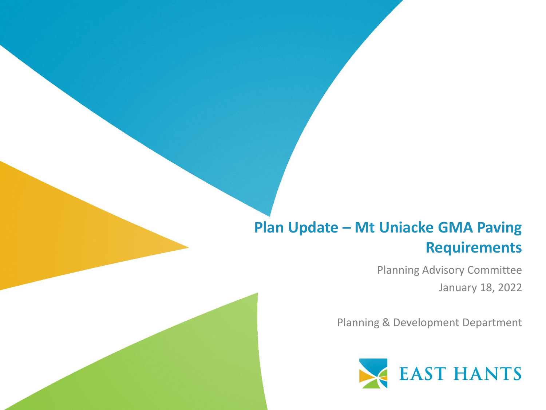#### **Plan Update – Mt Uniacke GMA Paving Requirements**

Planning Advisory Committee January 18, 2022

Planning & Development Department

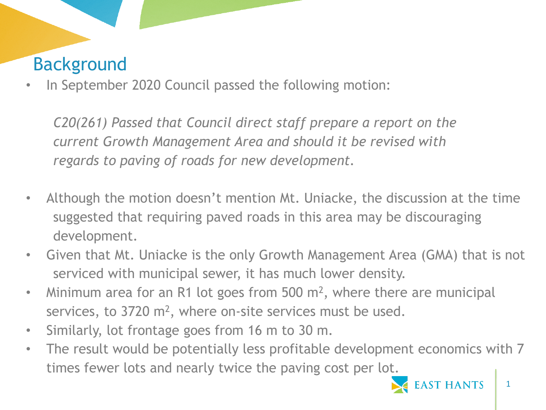# Background

In September 2020 Council passed the following motion:

*C20(261) Passed that Council direct staff prepare a report on the current Growth Management Area and should it be revised with regards to paving of roads for new development.* 

- Although the motion doesn't mention Mt. Uniacke, the discussion at the time suggested that requiring paved roads in this area may be discouraging development.
- Given that Mt. Uniacke is the only Growth Management Area (GMA) that is not serviced with municipal sewer, it has much lower density.
- Minimum area for an R1 lot goes from 500 m<sup>2</sup>, where there are municipal services, to  $3720 \text{ m}^2$ , where on-site services must be used.
- Similarly, lot frontage goes from 16 m to 30 m.
- The result would be potentially less profitable development economics with 7 times fewer lots and nearly twice the paving cost per lot.

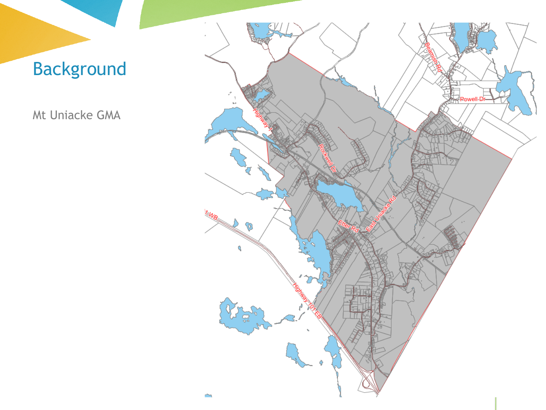# Background

Mt Uniacke GMA

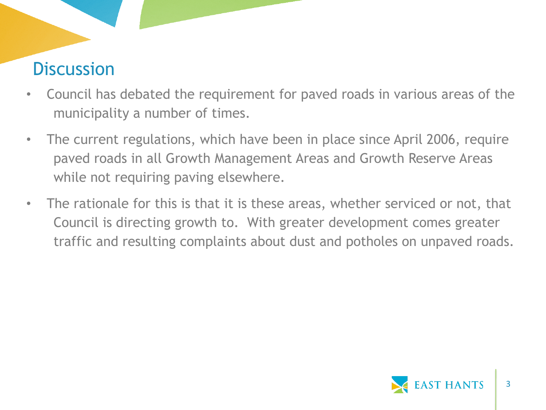- Council has debated the requirement for paved roads in various areas of the municipality a number of times.
- The current regulations, which have been in place since April 2006, require paved roads in all Growth Management Areas and Growth Reserve Areas while not requiring paving elsewhere.
- The rationale for this is that it is these areas, whether serviced or not, that Council is directing growth to. With greater development comes greater traffic and resulting complaints about dust and potholes on unpaved roads.

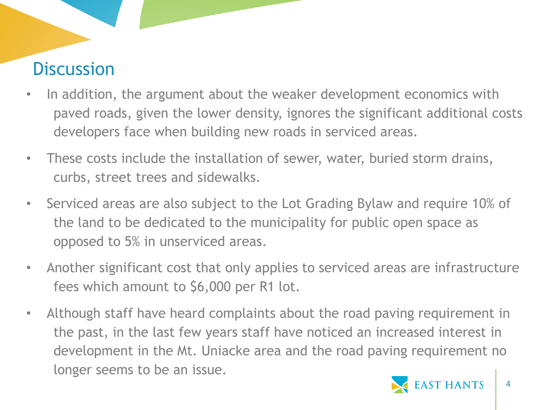- In addition, the argument about the weaker development economics with paved roads, given the lower density, ignores the significant additional costs developers face when building new roads in serviced areas.
- These costs include the installation of sewer, water, buried storm drains, curbs, street trees and sidewalks.
- Serviced areas are also subject to the Lot Grading Bylaw and require 10% of the land to be dedicated to the municipality for public open space as opposed to 5% in unserviced areas.
- Another significant cost that only applies to serviced areas are infrastructure fees which amount to \$6,000 per R1 lot.
- Although staff have heard complaints about the road paving requirement in the past, in the last few years staff have noticed an increased interest in development in the Mt. Uniacke area and the road paving requirement no longer seems to be an issue.

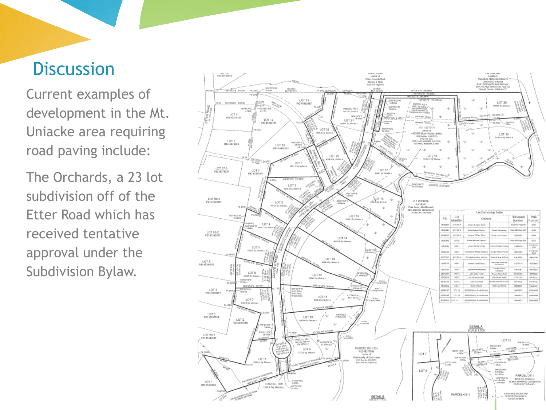Current examples of development in the Mt. Uniacke area requiring road paving include:

The Orchards, a 23 lot subdivision off of the Etter Road which has received tentative approval under the Subdivision Bylaw.

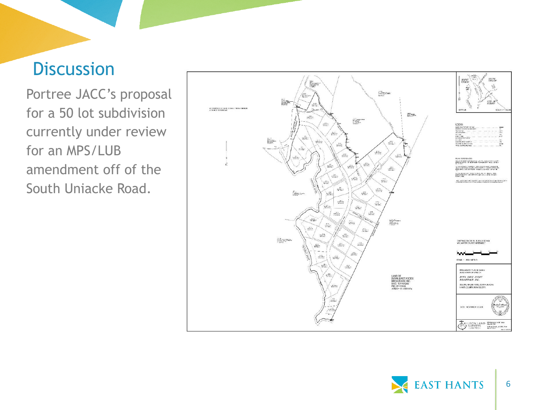Portree JACC's proposal for a 50 lot subdivision currently under review for an MPS/LUB amendment off of the South Uniacke Road.



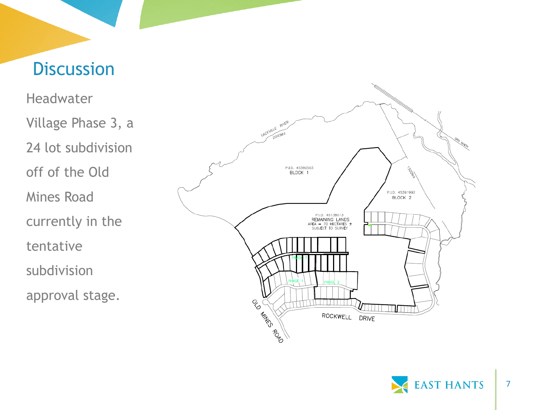**Headwater** Village Phase 3, a 24 lot subdivision off of the Old Mines Road currently in the tentative subdivision approval stage.



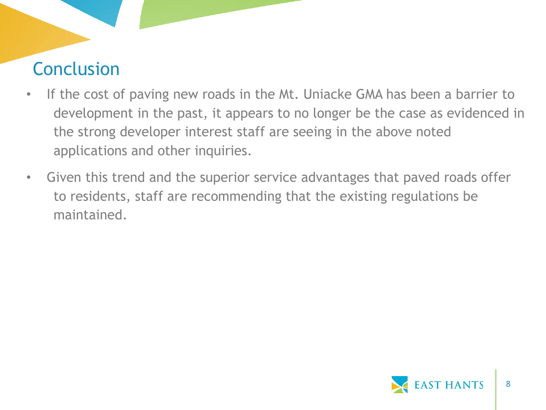# Conclusion

- If the cost of paving new roads in the Mt. Uniacke GMA has been a barrier to development in the past, it appears to no longer be the case as evidenced in the strong developer interest staff are seeing in the above noted applications and other inquiries.
- Given this trend and the superior service advantages that paved roads offer to residents, staff are recommending that the existing regulations be maintained.